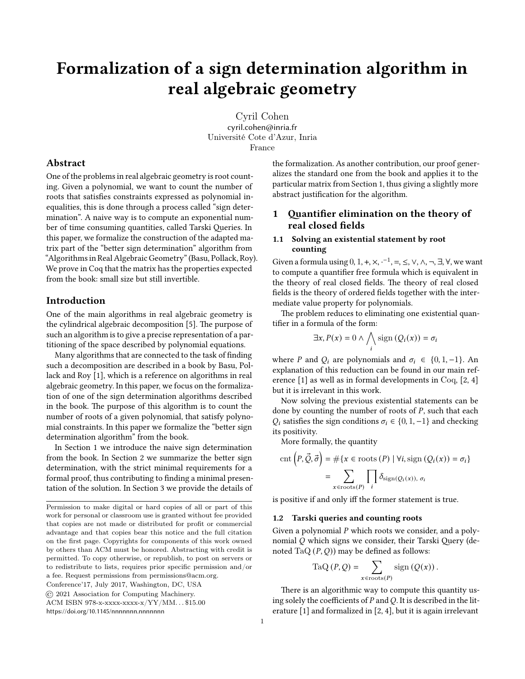# **Formalization of a sign determination algorithm in real algebraic geometry**

Cyril Cohen cyril.cohen@inria.fr Université Cote d'Azur, Inria France

# **Abstract**

One of the problems in real algebraic geometry is root counting. Given a polynomial, we want to count the number of roots that satisfies constraints expressed as polynomial inequalities, this is done through a process called "sign determination". A naive way is to compute an exponential number of time consuming quantities, called Tarski Queries. In this paper, we formalize the construction of the adapted matrix part of the "better sign determination" algorithm from "Algorithms in Real Algebraic Geometry" (Basu, Pollack, Roy). We prove in Coq that the matrix has the properties expected from the book: small size but still invertible.

# **Introduction**

One of the main algorithms in real algebraic geometry is the cylindrical algebraic decomposition [\[5\]](#page-4-0). The purpose of such an algorithm is to give a precise representation of a partitioning of the space described by polynomial equations.

Many algorithms that are connected to the task of finding such a decomposition are described in a book by Basu, Pollack and Roy [\[1\]](#page-4-1), which is a reference on algorithms in real algebraic geometry. In this paper, we focus on the formalization of one of the sign determination algorithms described in the book. The purpose of this algorithm is to count the number of roots of a given polynomial, that satisfy polynomial constraints. In this paper we formalize the "better sign determination algorithm" from the book.

In Section [1](#page-0-0) we introduce the naive sign determination from the book. In Section [2](#page-1-0) we summarize the better sign determination, with the strict minimal requirements for a formal proof, thus contributing to finding a minimal presentation of the solution. In Section [3](#page-2-0) we provide the details of

© 2021 Association for Computing Machinery.

<https://doi.org/10.1145/nnnnnnn.nnnnnnn>n

the formalization. As another contribution, our proof generalizes the standard one from the book and applies it to the particular matrix from Section [1,](#page-0-0) thus giving a slightly more abstract justification for the algorithm.

# <span id="page-0-0"></span>**1 Quantifier elimination on the theory of real closed fields**

## **1.1 Solving an existential statement by root counting**

Given a formula using 0*,* 1*,* +*,* ×*,* · −1 *,* =*,* ≤*,* ∨*,* ∧*,* ¬*,* ∃*,* ∀, we want to compute a quantifier free formula which is equivalent in the theory of real closed fields. The theory of real closed fields is the theory of ordered fields together with the intermediate value property for polynomials.

The problem reduces to eliminating one existential quantifier in a formula of the form:

$$
\exists x, P(x) = 0 \land \bigwedge_i \text{sign}(Q_i(x)) = \sigma_i
$$

where *P* and  $Q_i$  are polynomials and  $\sigma_i \in \{0, 1, -1\}$ . An explanation of this reduction can be found in our main reference[[1\]](#page-4-1) as well as in formal developments in Coq, [\[2,](#page-4-2) [4](#page-4-3)] but it is irrelevant in this work.

Now solving the previous existential statements can be done by counting the number of roots of  $P$ , such that each  $Q_i$  satisfies the sign conditions  $\sigma_i \in \{0, 1, -1\}$  and checking its positivity.

More formally, the quantity

$$
\text{cnt}\left(P, \vec{Q}, \vec{\sigma}\right) = #\{x \in \text{roots}\left(P\right) \mid \forall i, \text{sign}\left(Q_i(x)\right) = \sigma_i\}
$$
\n
$$
= \sum_{x \in \text{roots}\left(P\right)} \prod_i \delta_{\text{sign}\left(Q_i(x)\right), \sigma_i}
$$

is positive if and only iff the former statement is true.

#### <span id="page-0-1"></span>**1.2 Tarski queries and counting roots**

Given a polynomial  $P$  which roots we consider, and a polynomial  $Q$  which signs we consider, their Tarski Query (denoted TaQ  $(P, Q)$ ) may be defined as follows:

$$
\mathrm{TaQ}\left(P,Q\right) = \sum_{x \in \mathrm{roots}(P)} \mathrm{sign}\left(Q(x)\right).
$$

There is an algorithmic way to compute this quantity using solely the coefficients of  $P$  and  $Q$ . It is described in the literature[[1\]](#page-4-1) and formalized in[[2,](#page-4-2) [4\]](#page-4-3), but it is again irrelevant

Permission to make digital or hard copies of all or part of this work for personal or classroom use is granted without fee provided that copies are not made or distributed for profit or commercial advantage and that copies bear this notice and the full citation on the first page. Copyrights for components of this work owned by others than ACM must be honored. Abstracting with credit is permitted. To copy otherwise, or republish, to post on servers or to redistribute to lists, requires prior specific permission and/or a fee. Request permissions from permissions@acm.org.

Conference'17, July 2017, Washington, DC, USA

ACM ISBN 978-x-xxxx-xxxx-x/YY/MM. . . \$15.00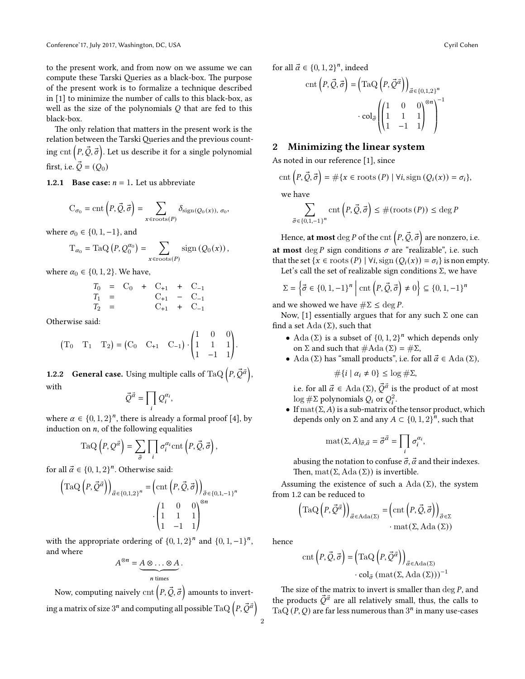to the present work, and from now on we assume we can compute these Tarski Queries as a black-box. The purpose of the present work is to formalize a technique described in [\[1\]](#page-4-1) to minimize the number of calls to this black-box, as well as the size of the polynomials  $Q$  that are fed to this black-box.

The only relation that matters in the present work is the relation between the Tarski Queries and the previous counting cnt  $\left(P, \vec{Q}, \vec{\sigma}\right)$ . Let us describe it for a single polynomial first, i.e.  $\vec{Q} = (Q_0)$ 

**1.2.1 Base case:**  $n = 1$ . Let us abbreviate

$$
C_{\sigma_0} = \text{cnt}\left(P, \vec{Q}, \vec{\sigma}\right) = \sum_{x \in \text{roots}(P)} \delta_{\text{sign}(Q_0(x)), \sigma_0},
$$

where  $\sigma_0 \in \{0, 1, -1\}$ , and

$$
\mathrm{T}_{\alpha_0}=\mathrm{TaQ}\left(P,Q^{\alpha_0}_0\right)=\sum_{x\in \mathrm{roots}(P)}\mathrm{sign}\left(Q_0(x)\right),
$$

where  $\alpha_0 \in \{0, 1, 2\}$ . We have,

$$
T_0 = C_0 + C_{+1} + C_{-1}
$$
  
\n
$$
T_1 = C_{+1} - C_{-1}
$$
  
\n
$$
T_2 = C_{+1} + C_{-1}
$$

Otherwise said:

$$
(T_0 \t T_1 \t T_2) = (C_0 \t C_{+1} \t C_{-1}) \cdot \begin{pmatrix} 1 & 0 & 0 \\ 1 & 1 & 1 \\ 1 & -1 & 1 \end{pmatrix}.
$$

<span id="page-1-1"></span>**1.2.2 General case.** Using multiple calls of TaQ  $\left(P, \vec{Q}^{\vec{\alpha}}\right)$ , with

$$
\vec{Q}^{\vec{\alpha}} = \prod_i Q_i^{\alpha_i},
$$

where  $\alpha \in \{0, 1, 2\}^n$ , there is already a formal proof [\[4\]](#page-4-3), by induction on  $n$ , of the following equalities

$$
\text{TaQ}\left(P, Q^{\vec{\alpha}}\right) = \sum_{\vec{\sigma}} \prod_i \sigma_i^{\alpha_i} \text{cnt}\left(P, \vec{Q}, \vec{\sigma}\right),
$$

for all  $\vec{\alpha} \in \{0, 1, 2\}^n$ . Otherwise said:

$$
\left(\text{TaQ}\left(P, \vec{Q}^{\vec{\alpha}}\right)\right)_{\vec{\alpha} \in \{0,1,2\}^n} = \left(\text{cnt}\left(P, \vec{Q}, \vec{\sigma}\right)\right)_{\vec{\sigma} \in \{0,1,-1\}^n}
$$

$$
\cdot \begin{pmatrix} 1 & 0 & 0 \\ 1 & 1 & 1 \\ 1 & -1 & 1 \end{pmatrix}^{\otimes n}
$$

with the appropriate ordering of  ${0, 1, 2}^n$  and  ${0, 1, -1}^n$ , and where

$$
A^{\otimes n} = \underbrace{A \otimes \ldots \otimes A}_{n \text{ times}}.
$$

Now, computing naively  $\mathrm{cnt}\left(P,\vec{Q},\vec{\sigma}\right)$  amounts to inverting a matrix of size  $3^n$  and computing all possible TaQ  $\left(P,\vec{Q}^{\vec{\alpha}}\right)$  for all  $\vec{\alpha} \in \{0, 1, 2\}^n$ , indeed

$$
\operatorname{cnt}\left(P, \vec{Q}, \vec{\sigma}\right) = \left(\operatorname{TaQ}\left(P, \vec{Q}^{\vec{\alpha}}\right)\right)_{\vec{\alpha} \in \{0, 1, 2\}^n} \\ \cdot \operatorname{col}_{\vec{\sigma}}\left(\begin{pmatrix}1 & 0 & 0 \\ 1 & 1 & 1 \\ 1 & -1 & 1\end{pmatrix}^{\otimes n}\right)^{-1}
$$

# <span id="page-1-0"></span>**2 Minimizing the linear system**

As noted in our reference [\[1\]](#page-4-1), since

$$
\mathrm{cnt}\left(P, \vec{Q}, \vec{\sigma}\right) = \#\{x \in \mathrm{roots}\left(P\right) \mid \forall i, \mathrm{sign}\left(Q_i(x)\right) = \sigma_i\},\
$$

we have

$$
\sum_{\vec{\sigma} \in \{0,1,-1\}^n} \operatorname{cnt}\left(P, \vec{Q}, \vec{\sigma}\right) \le \#(\operatorname{roots}\left(P\right)) \le \deg P
$$

Hence,  $\operatorname{\textbf{at}}$  most  $\deg P$  of the  $\operatorname{cnt}\left(P, \vec{\mathcal{Q}}, \vec{\sigma} \right)$  are nonzero, i.e. **at most** deg  $P$  sign conditions  $\sigma$  are "realizable", i.e. such that the set { $x \in \text{roots}(P) \mid \forall i, \text{sign}(Q_i(x)) = \sigma_i$ } is non empty.

Let's call the set of realizable sign conditions  $\Sigma$ , we have

$$
\Sigma = \left\{ \vec{\sigma} \in \{0, 1, -1\}^n \mid \text{cnt}\left(P, \vec{Q}, \vec{\sigma}\right) \neq 0 \right\} \subseteq \left\{0, 1, -1\right\}^n
$$

and we showed we have  $\#\Sigma \leq \deg P$ .

Now, [\[1](#page-4-1)] essentially argues that for any such  $\Sigma$  one can find a set Ada  $(\Sigma)$ , such that

- Ada ( $\Sigma$ ) is a subset of  $\{0, 1, 2\}^n$  which depends only on Σ and such that  $#Ada (Σ) = #Σ$ ,
- Ada (Σ) has "small products", i.e. for all  $\vec{\alpha} \in \text{Ada}(\Sigma)$ ,

$$
\#\{i \mid \alpha_i \neq 0\} \leq \log \#\Sigma,
$$

i.e. for all  $\vec{\alpha} \in \operatorname{Ada}(\Sigma), \vec{\mathcal{Q}}^{\vec{\alpha}}$  is the product of at most log  $\#\Sigma$  polynomials  $Q_i$  or  $Q_i^2$ .

• If  $\text{mat}(\Sigma, A)$  is a sub-matrix of the tensor product, which depends only on  $\Sigma$  and any  $A \subset \{0, 1, 2\}^n$ , such that

$$
\text{mat}(\Sigma, A)_{\vec{\sigma}, \vec{\alpha}} = \vec{\sigma}^{\vec{\alpha}} = \prod_i \sigma_i^{\alpha_i},
$$

abusing the notation to confuse  $\vec{\sigma}$ ,  $\vec{\alpha}$  and their indexes. Then,  $\text{mat}(\Sigma, \text{Ada}(\Sigma))$  is invertible.

Assuming the existence of such a Ada  $(\Sigma)$ , the system from [1.2](#page-0-1) can be reduced to

$$
\left(\mathrm{TaQ}\left(P,\vec{\mathcal{Q}}^{\vec{\alpha}}\right)\right)_{\vec{\alpha}\in\mathrm{Ada}(\Sigma)}=\left(\mathrm{cnt}\left(P,\vec{\mathcal{Q}},\vec{\sigma}\right)\right)_{\vec{\sigma}\in\Sigma}
$$

$$
\cdot\mathrm{mat}(\Sigma,\mathrm{Ada}(\Sigma))
$$

hence

$$
\operatorname{cnt}\left(P, \vec{Q}, \vec{\sigma}\right) = \left(\operatorname{TaQ}\left(P, \vec{Q}^{\vec{\alpha}}\right)\right)_{\vec{\alpha} \in \operatorname{Ada}(\Sigma)} \\ \cdot \operatorname{col}_{\vec{\sigma}}\left(\operatorname{mat}(\Sigma, \operatorname{Ada}\left(\Sigma\right))\right)^{-1}
$$

The size of the matrix to invert is smaller than  $\deg P$ , and the products  $\vec{Q}^{\vec{\alpha}}$  are all relatively small, thus, the calls to TaQ  $(P, Q)$  are far less numerous than  $3<sup>n</sup>$  in many use-cases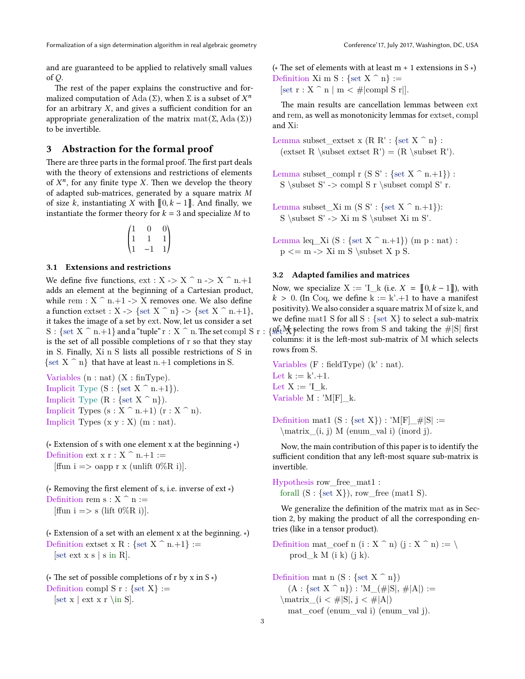and are guaranteed to be applied to relatively small values of  $O$ .

The rest of the paper explains the constructive and formalized computation of Ada ( $\Sigma$ ), when  $\Sigma$  is a subset of  $X^n$ for an arbitrary  $X$ , and gives a sufficient condition for an appropriate generalization of the matrix mat(Σ*,* Ada (Σ)) to be invertible.

# <span id="page-2-0"></span>**3 Abstraction for the formal proof**

There are three parts in the formal proof. The first part deals with the theory of extensions and restrictions of elements of  $X<sup>n</sup>$ , for any finite type X. Then we develop the theory of adapted sub-matrices, generated by a square matrix  $M$ of size k, instantiating X with  $\llbracket 0, k-1 \rrbracket$ . And finally, we instantiate the former theory for  $k = 3$  and specialize M to

$$
\begin{pmatrix} 1 & 0 & 0 \\ 1 & 1 & 1 \\ 1 & -1 & 1 \end{pmatrix}
$$

#### **3.1 Extensions and restrictions**

We define five functions,  $ext : X \rightarrow X^{\frown} n \rightarrow X^{\frown} n+1$ adds an element at the beginning of a Cartesian product, while rem :  $X \cap n+1$  -> X removes one. We also define a function extset :  $X \rightarrow$  {set  $X \cap n$ } -> {set  $X \cap n+1$ }, it takes the image of a set by ext. Now, let us consider a set  $S : \{ set \ X \cap n,+1 \}$  and a "tuple"  $r : X \cap n$ . The set compl  $S r :$ is the set of all possible completions of r so that they stay in S. Finally, Xi n S lists all possible restrictions of S in  $\{ set X \cap n \}$  that have at least n.+1 completions in S.

Variables (n : nat) (X : finType). Implicit Type  $(S : \{ set \ X \cap n+1 \}).$ Implicit Type  $(R : \{ set \ X \cap n \})$ . Implicit Types  $(s : X \cap n+1)$   $(r : X \cap n)$ . Implicit Types  $(x y : X)$   $(m : nat)$ .

(∗ Extension of s with one element x at the beginning ∗) Definition ext  $x : X \cap n+1 :=$ [ffun i => oapp r x (unlift  $0\%$ R i)].

(∗ Removing the first element of s, i.e. inverse of ext ∗) Definition rem s :  $X \hat{ }$ n := [ffun i => s (lift  $0\%$ R i)].

(∗ Extension of a set with an element x at the beginning. ∗) Definition extset x R : {set X  $\hat{ }$  n.+1} :=  $[set ext xs | s in R].$ 

(∗ The set of possible completions of r by x in S ∗) Definition compl S  $r : \{ set X \} :=$  $[set x | ext x r \in S].$ 

( $\star$  The set of elements with at least m + 1 extensions in S  $\star$ ) Definition Xi m S : {set X  $\hat{ }$  n} :=

[set  $r : X \cap n \mid m < \text{\#|compl S r|}.$ 

The main results are cancellation lemmas between ext and rem, as well as monotonicity lemmas for extset, compl and Xi:

Lemma subset\_extset x (R R' : {set X  $\hat{ }$  n} : (extset R \subset extset R') =  $(R \subset R')$ .

- Lemma subset compl r (S S' : {set X  $\hat{ }$  n.+1}) : S \subset  $S'$  -> compl S r \subset compl S' r.
- Lemma subset\_Xi m  $(S S' : \{ set X \cap n+1 \})$ : S \subset  $S'$  -> Xi m S \subset Xi m S'.

Lemma leq\_Xi  $(S : \{set X^n : n+1\})$   $(m p : n \text{at})$ :  $p \leq m \Rightarrow Xi \in S \subset X p S$ .

#### **3.2 Adapted families and matrices**

Now, we specialize  $X := \mathbb{I}_{\mathbb{I}} k$  (i.e.  $X = \mathbb{I}_{0,k-1}$ ), with  $k > 0$ . (In Coq, we define  $k := k' + 1$  to have a manifest positivity). We also consider a square matrix M of size k, and we define mat1 S for all  $S : \{ set X \}$  to select a sub-matrix  $\sqrt{\frac{1}{2}}$  selecting the rows from S and taking the  $\#|S|$  first columns: it is the left-most sub-matrix of M which selects rows from S.

Variables (F : fieldType) (k' : nat). Let  $k := k' + 1$ . Let  $X := 'I$  k. Variable M : 'M[F]\_k.

Definition mat1  $(S : \{set X\} ) : 'M[F] \_ \# |S| :=$ \matrix\_(i, j) M (enum\_val i) (inord j).

Now, the main contribution of this paper is to identify the sufficient condition that any left-most square sub-matrix is invertible.

Hypothesis row\_free\_mat1 : forall  $(S : \{ set X \})$ , row free (mat1 S).

We generalize the definition of the matrix mat as in Section [2,](#page-1-0) by making the product of all the corresponding entries (like in a tensor product).

Definition mat\_coef n (i : X  $\hat{ }$  n) (j : X  $\hat{ }$  n) := \ prod\_k  $M$  (i k) (j k).

Definition mat n  $(S : \{ set X \cap n \})$  $(A : \{ set X \cap n \}) : 'M_{\text{---}}(\# |S|, \# |A|) :=$  $\mathrm{matrix} (i < #|S|, i < #|A|)$ mat coef (enum val i) (enum val j).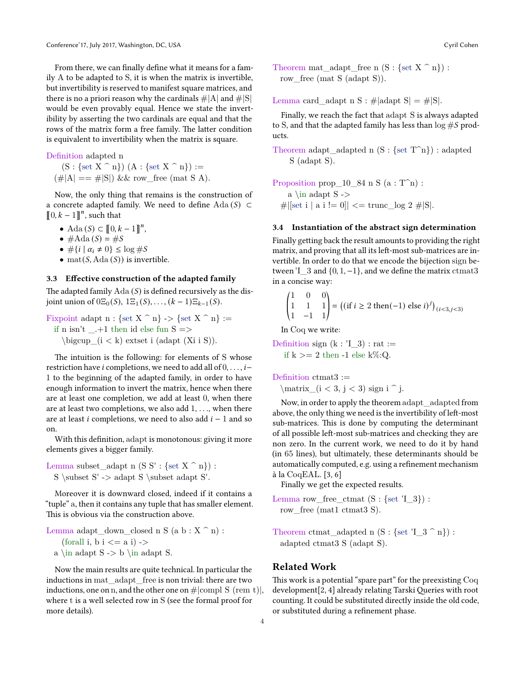From there, we can finally define what it means for a family A to be adapted to S, it is when the matrix is invertible, but invertibility is reserved to manifest square matrices, and there is no a priori reason why the cardinals  $\#|A|$  and  $\#|S|$ would be even provably equal. Hence we state the invertibility by asserting the two cardinals are equal and that the rows of the matrix form a free family. The latter condition is equivalent to invertibility when the matrix is square.

Definition adapted n

 $(S : \{ set \ X \cap n \}) (A : \{ set \ X \cap n \}) :=$  $(\#|A| == \#|S|) \& \& \text{ row} \text{ free (mat S A)}.$ 

Now, the only thing that remains is the construction of a concrete adapted family. We need to define Ada (S) ⊂  $\llbracket 0, k-1 \rrbracket^n$ , such that

- Ada (*S*)  $\subset [0, k-1]^{n}$ ,
- $#Ada(S) = #S$
- $\#\{i \mid \alpha_i \neq 0\} \leq \log \# S$
- mat( $S$ , Ada( $S$ )) is invertible.

#### **3.3 Effective construction of the adapted family**

The adapted family  $A da(S)$  is defined recursively as the disjoint union of  $0\Xi_0(S)$ ,  $1\Xi_1(S)$ , ...,  $(k-1)\Xi_{k-1}(S)$ .

Fixpoint adapt  $n : \{ set X \cap n \} \rightarrow \{ set X \cap n \} :=$ if n isn't \_.+1 then id else fun S => \bigcup  $(i < k)$  extset i (adapt  $(Xi i S)$ ).

The intuition is the following: for elements of S whose restriction have *i* completions, we need to add all of 0*, . . . , i*− 1 to the beginning of the adapted family, in order to have enough information to invert the matrix, hence when there are at least one completion, we add at least 0, when there are at least two completions, we also add 1, *. . .*, when there are at least *i* completions, we need to also add  $i - 1$  and so on.

With this definition, adapt is monotonous: giving it more elements gives a bigger family.

Lemma subset\_adapt n  $(S S' : \{ set X \cap n \})$ :  $S \subset S' \to S' \subset S'$ .

Moreover it is downward closed, indeed if it contains a "tuple" a, then it contains any tuple that has smaller element. This is obvious via the construction above.

Lemma adapt\_down\_closed n S (a b : X ^ n) : (forall i, b  $i \le a$  i) -> a \in adapt  $S \rightarrow b \in \mathbb{S}$ .

Now the main results are quite technical. In particular the inductions in mat\_adapt\_free is non trivial: there are two inductions, one on n, and the other one on  $\#|\text{compl S (rem t)}|$ , where t is a well selected row in S (see the formal proof for more details).

Theorem mat adapt free n  $(S : \{ set \ X \cap n \})$ : row free (mat S (adapt S)).

Lemma card adapt n S : #|adapt S| = #|S|.

Finally, we reach the fact that adapt S is always adapted to S, and that the adapted family has less than  $\log \# S$  products.

Theorem adapt adapted n  $(S : {set T^n})$  : adapted S (adapt S).

```
Proposition prop_10_84 n S (a : T^n) :
   a \infty adapt S ->
#|\text{set i} \mid a \text{ i } |= 0| <= trunc \log 2 \text{ #} |S|.
```
#### **3.4 Instantiation of the abstract sign determination**

Finally getting back the result amounts to providing the right matrix, and proving that all its left-most sub-matrices are invertible. In order to do that we encode the bijection sign between  $\begin{bmatrix} 1 & 3 & \text{and } \{0, 1, -1\} \end{bmatrix}$ , and we define the matrix ctmat3 in a concise way:

$$
\begin{pmatrix} 1 & 0 & 0 \ 1 & 1 & 1 \ 1 & -1 & 1 \end{pmatrix} = ((\text{if } i \ge 2 \text{ then}(-1) \text{ else } i)^j)_{(i < 3, j < 3)}
$$

In Coq we write:

Definition sign  $(k : I_3) : rat :=$ if  $k \geq 2$  then -1 else k%:Q.

Definition ctmat3 :=

\matrix  $(i < 3, i < 3)$  sign i  $\hat{i}$ .

Now, in order to apply the theorem adapt\_adapted from above, the only thing we need is the invertibility of left-most sub-matrices. This is done by computing the determinant of all possible left-most sub-matrices and checking they are non zero. In the current work, we need to do it by hand (in 65 lines), but ultimately, these determinants should be automatically computed, e.g. using a refinement mechanism à la CoqEAL. [\[3,](#page-4-4) [6](#page-4-5)]

Finally we get the expected results.

- Lemma row\_free\_ctmat  $(S : \{set' I_3\})$ : row free (mat1 ctmat3 S).
- Theorem ctmat\_adapted n  $(S : \{set 'I_3 \cap n\})$ : adapted ctmat3 S (adapt S).

## **Related Work**

This work is a potential "spare part" for the preexisting Coq development[[2,](#page-4-2) [4\]](#page-4-3) already relating Tarski Queries with root counting. It could be substituted directly inside the old code, or substituted during a refinement phase.